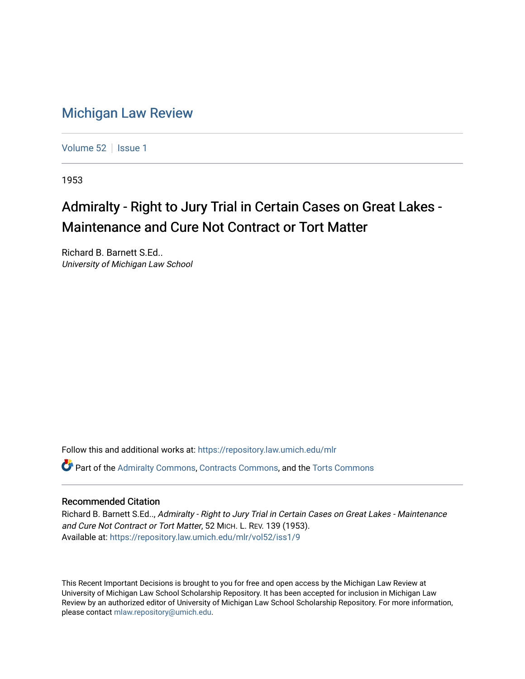## [Michigan Law Review](https://repository.law.umich.edu/mlr)

[Volume 52](https://repository.law.umich.edu/mlr/vol52) | [Issue 1](https://repository.law.umich.edu/mlr/vol52/iss1)

1953

## Admiralty - Right to Jury Trial in Certain Cases on Great Lakes -Maintenance and Cure Not Contract or Tort Matter

Richard B. Barnett S.Ed.. University of Michigan Law School

Follow this and additional works at: [https://repository.law.umich.edu/mlr](https://repository.law.umich.edu/mlr?utm_source=repository.law.umich.edu%2Fmlr%2Fvol52%2Fiss1%2F9&utm_medium=PDF&utm_campaign=PDFCoverPages) 

Part of the [Admiralty Commons](http://network.bepress.com/hgg/discipline/580?utm_source=repository.law.umich.edu%2Fmlr%2Fvol52%2Fiss1%2F9&utm_medium=PDF&utm_campaign=PDFCoverPages), [Contracts Commons,](http://network.bepress.com/hgg/discipline/591?utm_source=repository.law.umich.edu%2Fmlr%2Fvol52%2Fiss1%2F9&utm_medium=PDF&utm_campaign=PDFCoverPages) and the [Torts Commons](http://network.bepress.com/hgg/discipline/913?utm_source=repository.law.umich.edu%2Fmlr%2Fvol52%2Fiss1%2F9&utm_medium=PDF&utm_campaign=PDFCoverPages)

## Recommended Citation

Richard B. Barnett S.Ed.., Admiralty - Right to Jury Trial in Certain Cases on Great Lakes - Maintenance and Cure Not Contract or Tort Matter, 52 MICH. L. REV. 139 (1953). Available at: [https://repository.law.umich.edu/mlr/vol52/iss1/9](https://repository.law.umich.edu/mlr/vol52/iss1/9?utm_source=repository.law.umich.edu%2Fmlr%2Fvol52%2Fiss1%2F9&utm_medium=PDF&utm_campaign=PDFCoverPages)

This Recent Important Decisions is brought to you for free and open access by the Michigan Law Review at University of Michigan Law School Scholarship Repository. It has been accepted for inclusion in Michigan Law Review by an authorized editor of University of Michigan Law School Scholarship Repository. For more information, please contact [mlaw.repository@umich.edu.](mailto:mlaw.repository@umich.edu)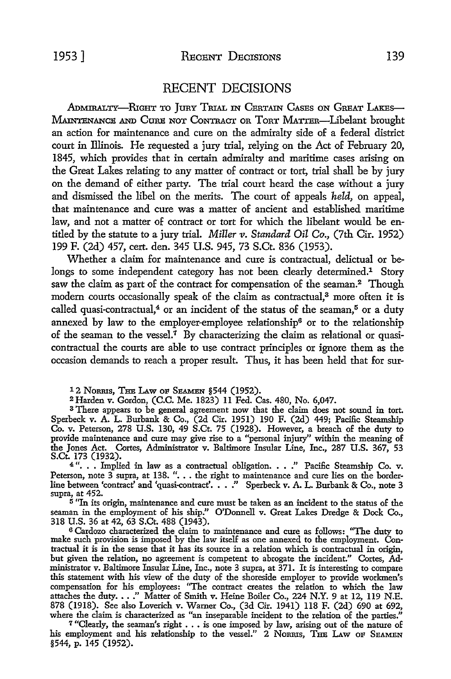## RECENT DECISIONS

ADMIRALTY-RIGHT TO JURY TRIAL IN CERTAIN CASES ON GREAT LAKES-MAINTENANCE AND CURE NOT CONTRACT OR TORT MATTER-Libelant brought an action for maintenance and cure on the admiralty side of a federal district court in Illinois. He requested a jury trial, relying on the Act of February 20, 1845, which provides that in certain admiralty and maritime cases arising on the Great Lakes relating to any matter of contract or tort, trial shall be by jury on the demand of either party. The trial court heard the case without a jury and dismissed the libel on the merits. The court of appeals *held,* on appeal, that maintenance and cure was a matter of ancient and established maritime law, and not a matter of contract or tort for which the libelant would be entitled by the statute to a jury trial. *Miller v. Standard Oil Co.,* (7th Cir. 1952) 199 F. (2d) 457, cert. den. 345 U.S. 945, 73 S.Ct. 836 (1953).

Whether a claim for maintenance and cure is contractual, delictual or belongs to some independent category has not been clearly determined.<sup>1</sup> Story saw the claim as part of the contract for compensation of the seaman.<sup>2</sup> Though modern courts occasionally speak of the claim as contractual,<sup>3</sup> more often it is called quasi-contractual,<sup>4</sup> or an incident of the status of the seaman,<sup>5</sup> or a duty annexed by law to the employer-employee relationship<sup>6</sup> or to the relationship of the seaman to the vessel.<sup>7</sup> By characterizing the claim as relational or quasicontractual the courts are able to use contract principles or ignore them as the occasion demands to reach a proper result. Thus, it has been held that for sur-

12 NORRIS, THE LAW OF SEAMEN §544 (1952).

<sup>2</sup>Harden v. Gordon, (C.C. Me. 1823) 11 Fed. Cas. 480, No. 6,047.

<sup>3</sup> There appears to be general agreement now that the claim does not sound in tort. Sperbeck v. A. L. Burbank & Co., (2d Cir. 1951) 190 F. (2d) 449; Pacific Steamship Co. v. Peterson, 278 U.S. 130, 49 S.Ct. 75 (1928). However, a breach of the duty to provide maintenance and cure may give rise to a "personal injury'' within the meaning of the Jones Act. Cortes, Administrator v. Baltimore Insular Line, Inc., 287 U.S. 367, 53 S.Ct. 173 (1932).

4 ". • • Implied in law as a contractual obligation. • • ." Pacific Steamship Co. v. Peterson, note 3 supra, at 138. "... the right to maintenance and cure lies on the border-<br>line between 'contract' and 'quasi-contract'...." Sperbeck v. A. L. Burbank & Co., note 3 supra, at 452.

<sup>5</sup>"In its origin, maintenance and cure must be taken as an incident to the status of the seaman in the employment of his ship." O'Donnell v. Great Lakes Dredge & Dock Co., 318 U.S. 36 at 42, 63 S.Ct. 488 (1943).

<sup>6</sup>Cardozo characterized the claim to maintenance and cure as follows: "The duty to make such provision is imposed by the law itself as one annexed to the employment. Contractual it is in the sense that it has its source in a relation which is contractual in origin, but given the relation, no agreement is competent to abrogate the incident." Cortes, Administrator v. Baltimore Insular Line, Inc., note 3 supra, at 371. It is interesting to compare this statement with his view of the duty of the shoreside employer to provide workmen's compensation for his employees: "The contract creates the relation to which the law attaches the duty. . .." Matter of Smith v. Heine Boiler Co., 224 N.Y. 9 at 12, 119 N.E. 878 (1918). See also Loverich v. Warner Co., (3d Cir. 1941) 118 F. (2d) 690 at 692,

where the claim is characterized as "an inseparable incident to the relation of the parties."<br><sup>7</sup> "Clearly, the seaman's right . . . is one imposed by law, arising out of the nature of his employment and his relationship to the vessel." 2 Norrus, THE LAW OF SEAMEN §544, p. 145 (1952).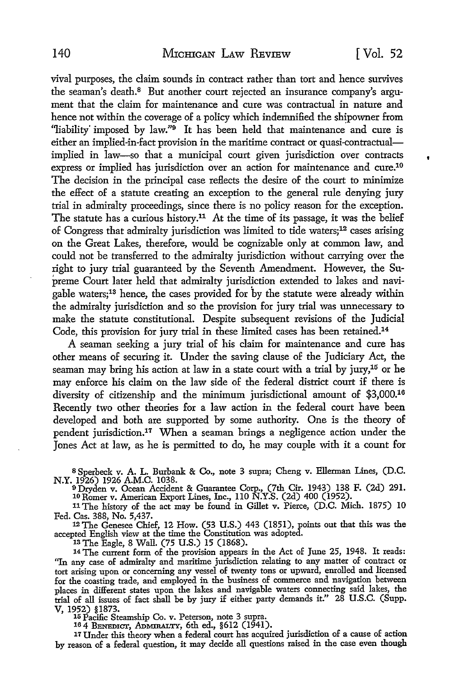$\bullet$ 

vival purposes, the claim sounds in contract rather than tort and hence survives the seaman's death.8 But another court rejected an insurance company's argument that the claim for maintenance and cure was contractual in nature and hence not within the coverage of a policy which indemnified the shipowner from "liability imposed by law."<sup>9</sup> It has been held that maintenance and cure is either an implied-in-fact provision in the maritime contract or quasi-contractualimplied in law-so that a municipal court given jurisdiction over contracts express or implied has jurisdiction over an action for maintenance and cure.10 The decision in the principal case reflects the desire of the court to minimize the effect of a statute creating an exception to the general rule denying jury trial in admiralty proceedings, since there is no policy reason for the exception. The statute has a curious history.<sup>11</sup> At the time of its passage, it was the belief of Congress that admiralty jurisdiction was limited to tide waters;12 cases arising on the Great Lakes, therefore, would be cognizable only at common law, and could not be transferred to the admiralty jurisdiction without carrying over the right to jury trial guaranteed by the Seventh Amendment. However, the Supreme Court later held that admiralty jurisdiction extended to lakes and navigable waters;13 hence, the cases provided for by the statute were already within the admiralty jurisdiction and so the provision for jury trial was unnecessary to make the statute constitutional. Despite subsequent revisions of the Judicial Code, this provision for jury trial in these limited cases has been retained.14

A seaman seeking a jury trial of his claim for maintenance and cure has other means of securing it. Under the saving clause of the Judiciary Act, the seaman may bring his action at law in a state court with a trial by jury,<sup>15</sup> or he may enforce his claim on the law side of the federal district court if there is diversity of citizenship and the minimum jurisdictional amount of \$3,000.<sup>16</sup> Recently two other theories for a law action in the federal court have been developed and both are supported by some authority. One is the theory of pendent jurisdiction.17 When a seaman brings a negligence action under the Jones Act at law, as he is permitted to do, he may couple with it a count for

8 Sperbeck v. A. L. Burbank & Co., note 3 supra; Cheng v. Ellerman Lines, (D.C. N.Y. 1926) 1926 A.M.C. 1038. <sup>9</sup>Dryden v. Ocean Accident & Guarantee Corp., (7th Cir. 1943) 138 F. (2d) 291.

10 Romer v. American Export Lines, Inc., llO N.Y.S. (2d) 400 (1952).

11 The history of the act may be found in Gillet v. Pierce, (D.C. Mich. 1875) IO Fed. Cas. 388, No. 5,437.

<sup>12</sup>The Genesee Chief, 12 How. (53 U.S.) 443 (1851), points out that this was the accepted English view at the time the Constitution was adopted.

1s The Eagle, 8 Wall. (75 U.S.) 15 (1868). 14 The current form of the provision appears in the Act of June 25, 1948. It reads: "In any case of admiralty and maritime jurisdiction relating to any matter of contract or tort arising upon or concerning any vessel of twenty tons or upward, enrolled and licensed for the coasting trade, and employed in the business of commerce and navigation between places in different states upon the lakes and navigable waters connecting said lakes, the trial of all issues of fact shall be by jury if either party demands it." 28 U .S.C. (Supp. V, 1952) §1873.<br>15 Pacific Steamship Co. v. Peterson, note 3 supra.<br>16 4 BENEDICT, ADMIRALTY, 6th ed., §612 (1941).

17 Under this theory when a federal court has acquired jurisdiction of a cause of action by reason of a federal question, it may decide all questions raised in the case even though